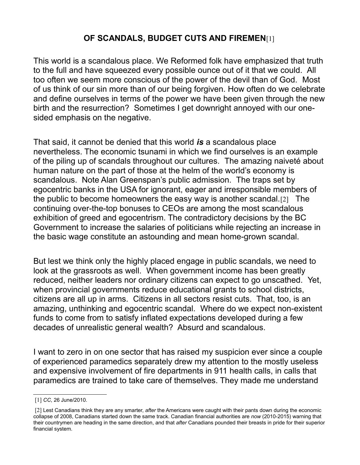## **OF SCANDALS, BUDGET CUTS AND FIREMEN**[1[\]](#page-0-0)

This world is a scandalous place. We Reformed folk have emphasized that truth to the full and have squeezed every possible ounce out of it that we could. All too often we seem more conscious of the power of the devil than of God. Most of us think of our sin more than of our being forgiven. How often do we celebrate and define ourselves in terms of the power we have been given through the new birth and the resurrection? Sometimes I get downright annoyed with our onesided emphasis on the negative.

That said, it cannot be denied that this world *is* a scandalous place nevertheless. The economic tsunami in which we find ourselves is an example of the piling up of scandals throughout our cultures. The amazing naiveté about human nature on the part of those at the helm of the world's economy is scandalous. Note Alan Greenspan's public admission. The traps set by egocentric banks in the USA for ignorant, eager and irresponsible members of the public to become homeowners the easy way is another scandal.[2[\]](#page-0-1) The continuing over-the-top bonuses to CEOs are among the most scandalous exhibition of greed and egocentrism. The contradictory decisions by the BC Government to increase the salaries of politicians while rejecting an increase in the basic wage constitute an astounding and mean home-grown scandal.

But lest we think only the highly placed engage in public scandals, we need to look at the grassroots as well. When government income has been greatly reduced, neither leaders nor ordinary citizens can expect to go unscathed. Yet, when provincial governments reduce educational grants to school districts, citizens are all up in arms. Citizens in all sectors resist cuts. That, too, is an amazing, unthinking and egocentric scandal. Where do we expect non-existent funds to come from to satisfy inflated expectations developed during a few decades of unrealistic general wealth? Absurd and scandalous.

I want to zero in on one sector that has raised my suspicion ever since a couple of experienced paramedics separately drew my attention to the mostly useless and expensive involvement of fire departments in 911 health calls, in calls that paramedics are trained to take care of themselves. They made me understand

<span id="page-0-0"></span><sup>[1]</sup> *CC*, 26 June/2010.

<span id="page-0-1"></span><sup>[2]</sup> Lest Canadians think they are any smarter, *after* the Americans were caught with their pants down during the economic collapse of 2008, Canadians started down the same track. Canadian financial authorities are *now* (2010-2015) warning that their countrymen are heading in the same direction, and that *after* Canadians pounded their breasts in pride for their superior financial system.